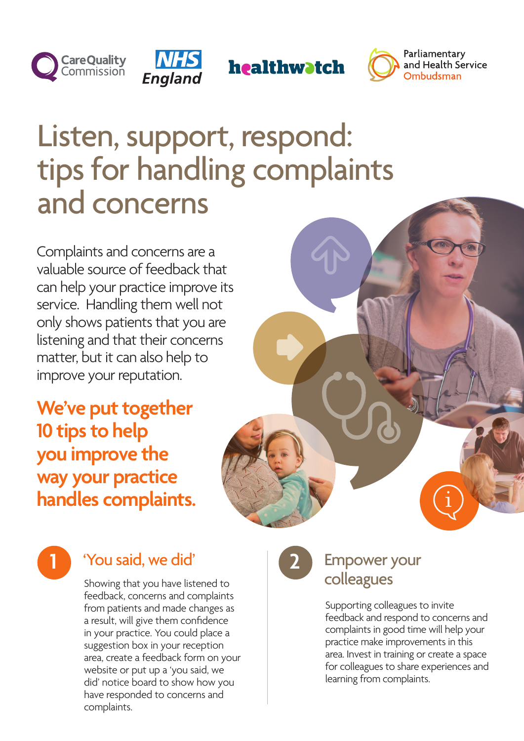



healthwatch



## Listen, support, respond: tips for handling complaints and concerns

Complaints and concerns are a valuable source of feedback that can help your practice improve its service. Handling them well not only shows patients that you are listening and that their concerns matter, but it can also help to improve your reputation.

**We've put together 10 tips to help you improve the way your practice handles complaints.** 





### **1** 'You said, we did' **2** Empower your

Showing that you have listened to feedback, concerns and complaints from patients and made changes as a result, will give them confidence in your practice. You could place a suggestion box in your reception area, create a feedback form on your website or put up a 'you said, we did' notice board to show how you have responded to concerns and complaints.

# colleagues

Supporting colleagues to invite feedback and respond to concerns and complaints in good time will help your practice make improvements in this area. Invest in training or create a space for colleagues to share experiences and learning from complaints.